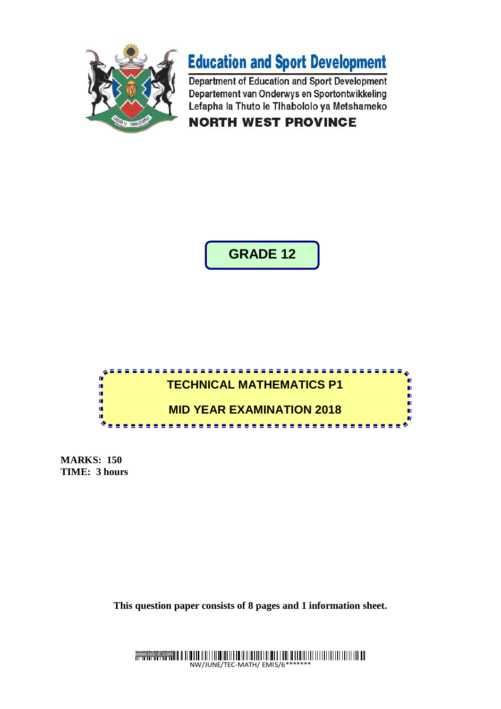



Department of Education and Sport Development Departement van Onderwys en Sportontwikkeling Lefapha la Thuto le Tihabololo ya Metshameko

**NORTH WEST PROVINCE** 

**GRADE 12**



**MARKS: 150 TIME: 3 hours**

**This question paper consists of 8 pages and 1 information sheet.**

www.tec-it.com NW/JUNE/TEC-MATH/ EMIS/6\*\*\*\*\*\*\*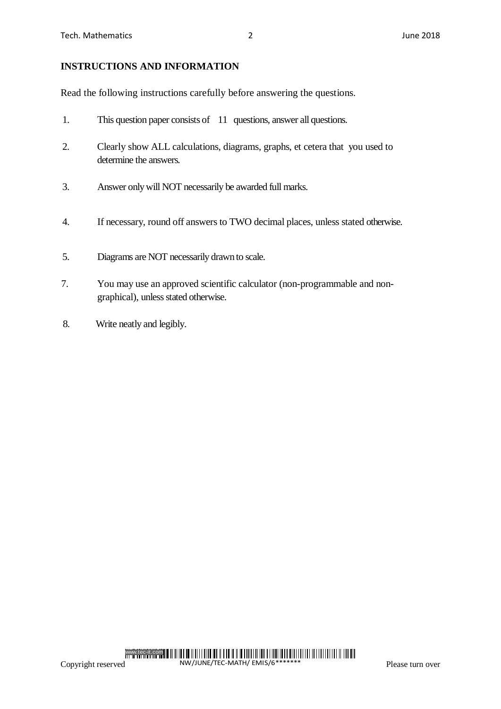### **INSTRUCTIONS AND INFORMATION**

Read the following instructions carefully before answering the questions.

- 1. This question paper consists of 11 questions, answer all questions.
- 2. Clearly show ALL calculations, diagrams, graphs, et cetera that you used to determine the answers.
- 3. Answer only will NOT necessarily be awarded full marks.
- 4. If necessary, round off answers to TWO decimal places, unless stated otherwise.
- 5. Diagrams are NOT necessarily drawn to scale.
- 7. You may use an approved scientific calculator (non-programmable and nongraphical), unless stated otherwise.
- 8. Write neatly and legibly.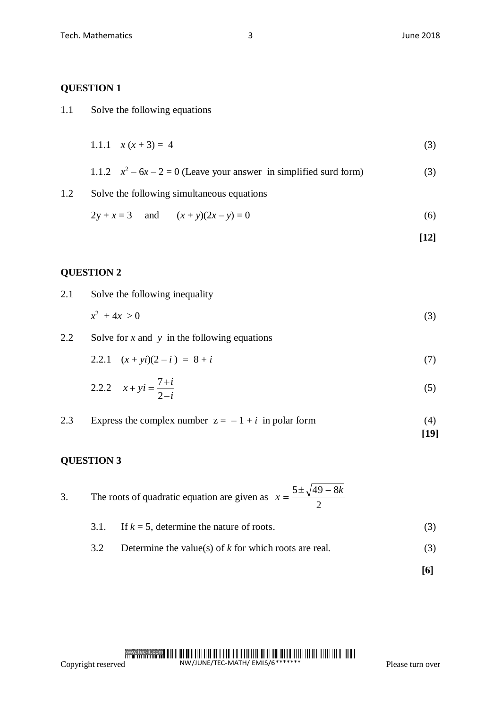| 1.1 | Solve the following equations |  |
|-----|-------------------------------|--|
|-----|-------------------------------|--|

$$
1.1.1 \quad x(x+3) = 4 \tag{3}
$$

1.1.2 
$$
x^2 - 6x - 2 = 0
$$
 (Leave your answer in simplified surd form) (3)

1.2 Solve the following simultaneous equations

$$
2y + x = 3 \quad \text{and} \quad (x + y)(2x - y) = 0 \tag{6}
$$

**[12]**

### **QUESTION 2**

2.1 Solve the following inequality

$$
x^2 + 4x > 0 \tag{3}
$$

2.2 Solve for *x* and *y* in the following equations

$$
2.2.1 \quad (x + yi)(2 - i) = 8 + i \tag{7}
$$

2.2.2 
$$
x + yi = \frac{7+i}{2-i}
$$
 (5)

2.3 Express the complex number  $z = -1 + i$  in polar form (4) **[19]**

## **QUESTION 3**

3. The roots of quadratic equation are given as 
$$
x = \frac{5 \pm \sqrt{49 - 8k}}{2}
$$

\n- 3.1. If 
$$
k = 5
$$
, determine the nature of roots.
\n- 3.2. Determine the value(s) of *k* for which roots are real.
\n- (3)
\n

**[6]**

# Copyright reservedwww.tec-it.com NW/JUNE/TEC-MATH/ EMIS/6\*\*\*\*\*\*\*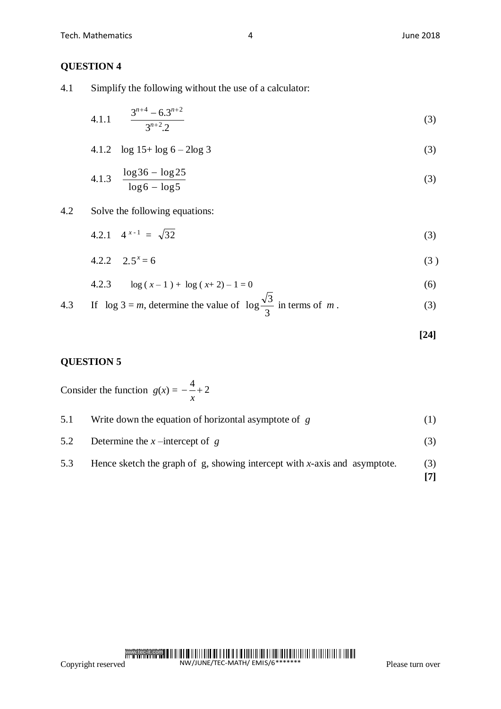4.1 Simplify the following without the use of a calculator:

4.1.1 
$$
\frac{3^{n+4} - 6 \cdot 3^{n+2}}{3^{n+2} \cdot 2}
$$
 (3)

$$
4.1.2 \quad \log 15 + \log 6 - 2\log 3 \tag{3}
$$

4.1.3 
$$
\frac{\log 36 - \log 25}{\log 6 - \log 5}
$$
 (3)

4.2 Solve the following equations:

$$
4.2.1 \quad 4^{x-1} = \sqrt{32} \tag{3}
$$

$$
4.2.2 \quad 2.5^x = 6 \tag{3}
$$

$$
4.2.3 \qquad \log\left(x - 1\right) + \log\left(x + 2\right) - 1 = 0 \tag{6}
$$

4.3 If 
$$
\log 3 = m
$$
, determine the value of  $\log \frac{\sqrt{3}}{3}$  in terms of m. (3)

**[24]**

## **QUESTION 5**

Consider the function  $g(x) = -\frac{4}{x} + 2$ *x*

| 5.1 | Write down the equation of horizontal asymptote of $g$                    |  |
|-----|---------------------------------------------------------------------------|--|
| 5.2 | Determine the x-intercept of g                                            |  |
| 5.3 | Hence sketch the graph of g, showing intercept with x-axis and asymptote. |  |

$$
5.5
$$
 There sketch the graph of  $g$ , showing intercept with  $x$ -axis and asymptote. [7]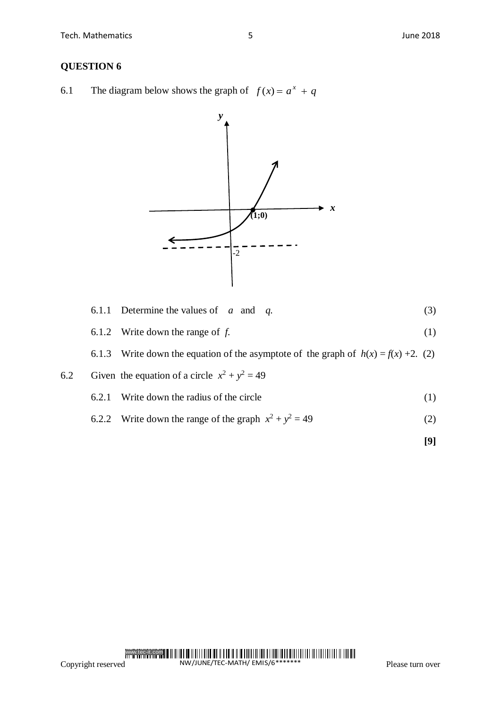6.1 The diagram below shows the graph of  $f(x) = a^x + q$ 



|  | 6.1.1 Determine the values of $\alpha$ and $\alpha$ . |  |  |  |  |  |
|--|-------------------------------------------------------|--|--|--|--|--|
|--|-------------------------------------------------------|--|--|--|--|--|

6.1.2 Write down the range of  $f$ .  $(1)$ 

6.1.3 Write down the equation of the asymptote of the graph of  $h(x) = f(x) + 2$ . (2)

6.2 Given the equation of a circle 
$$
x^2 + y^2 = 49
$$

- 6.2.1 Write down the radius of the circle (1)
- 6.2.2 Write down the range of the graph  $x^2 + y^2 = 49$  (2)

**[9]**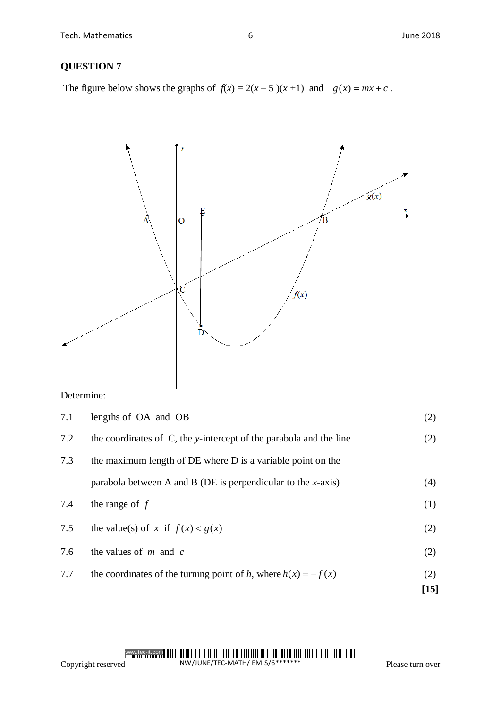The figure below shows the graphs of  $f(x) = 2(x - 5)(x + 1)$  and  $g(x) = mx + c$ .



Determine:

| 7.7 | the coordinates of the turning point of h, where $h(x) = -f(x)$    | (2)<br>$[15]$ |
|-----|--------------------------------------------------------------------|---------------|
|     |                                                                    |               |
| 7.6 | the values of $m$ and $c$                                          | (2)           |
| 7.5 | the value(s) of x if $f(x) < g(x)$                                 | (2)           |
| 7.4 | the range of $f$                                                   | (1)           |
|     | parabola between A and B (DE is perpendicular to the $x$ -axis)    | (4)           |
| 7.3 | the maximum length of DE where D is a variable point on the        |               |
| 7.2 | the coordinates of C, the y-intercept of the parabola and the line | (2)           |
| 7.1 | lengths of OA and OB                                               | (2)           |

# Copyright reservedwww.tec-it.com NW/JUNE/TEC-MATH/ EMIS/6\*\*\*\*\*\*\*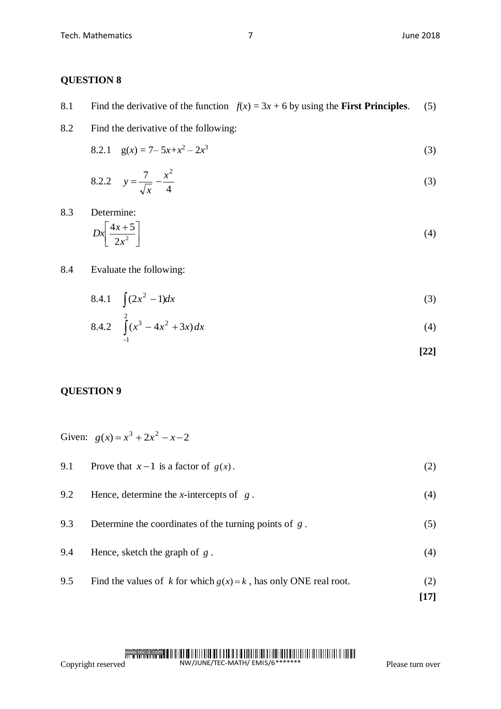|  |  | 8.1 Find the derivative of the function $f(x) = 3x + 6$ by using the <b>First Principles</b> . (5) |  |
|--|--|----------------------------------------------------------------------------------------------------|--|
|--|--|----------------------------------------------------------------------------------------------------|--|

8.2 Find the derivative of the following:

8.2.1 
$$
g(x) = 7 - 5x + x^2 - 2x^3
$$
 (3)

8.2.2 
$$
y = \frac{7}{\sqrt{x}} - \frac{x^2}{4}
$$
 (3)

8.3 Determine:

$$
Dx \left[ \frac{4x+5}{2x^2} \right] \tag{4}
$$

#### 8.4 Evaluate the following:

$$
8.4.1 \quad \int (2x^2 - 1) dx \tag{3}
$$

8.4.2 
$$
\int_{-1}^{2} (x^3 - 4x^2 + 3x) dx
$$
 (4)

$$
[22]
$$

#### **QUESTION 9**

Given:  $g(x) = x^3 + 2x^2 - x - 2$ 

| 9.1 | Prove that $x-1$ is a factor of $g(x)$ . |  |
|-----|------------------------------------------|--|
|-----|------------------------------------------|--|

| 9.2 | Hence, determine the <i>x</i> -intercepts of $g$ .                  | (4) |
|-----|---------------------------------------------------------------------|-----|
| 9.3 | Determine the coordinates of the turning points of $g$ .            | (5) |
| 9.4 | Hence, sketch the graph of $g$ .                                    | (4) |
| 9.5 | Find the values of k for which $g(x) = k$ , has only ONE real root. |     |

## Copyright reservedwww.tec-it.com NW/JUNE/TEC-MATH/ EMIS/6\*\*\*\*\*\*\*

**[17]**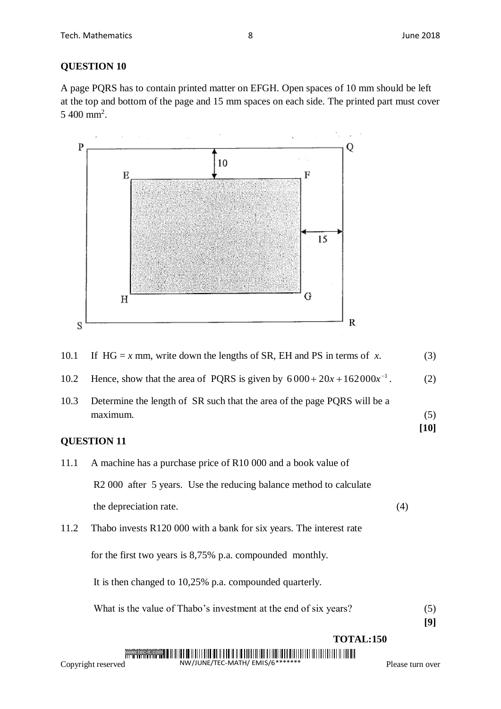A page PQRS has to contain printed matter on EFGH. Open spaces of 10 mm should be left at the top and bottom of the page and 15 mm spaces on each side. The printed part must cover  $5\ 400\ mm^2$ .



| 10.1 | If HG = x mm, write down the lengths of SR, EH and PS in terms of x.                 |     | (3)           |
|------|--------------------------------------------------------------------------------------|-----|---------------|
| 10.2 | Hence, show that the area of PQRS is given by $6000+20x+162000x^{-1}$ .              |     | (2)           |
| 10.3 | Determine the length of SR such that the area of the page PQRS will be a<br>maximum. |     | (5)<br>$[10]$ |
|      | <b>QUESTION 11</b>                                                                   |     |               |
| 11.1 | A machine has a purchase price of R10 000 and a book value of                        |     |               |
|      | R2 000 after 5 years. Use the reducing balance method to calculate                   |     |               |
|      | the depreciation rate.                                                               | (4) |               |
| 11.2 | Thabo invests R120 000 with a bank for six years. The interest rate                  |     |               |
|      | for the first two years is 8,75% p.a. compounded monthly.                            |     |               |
|      | It is then changed to 10,25% p.a. compounded quarterly.                              |     |               |
|      | What is the value of Thabo's investment at the end of six years?                     |     | (5)<br>[9]    |

**TOTAL:150**